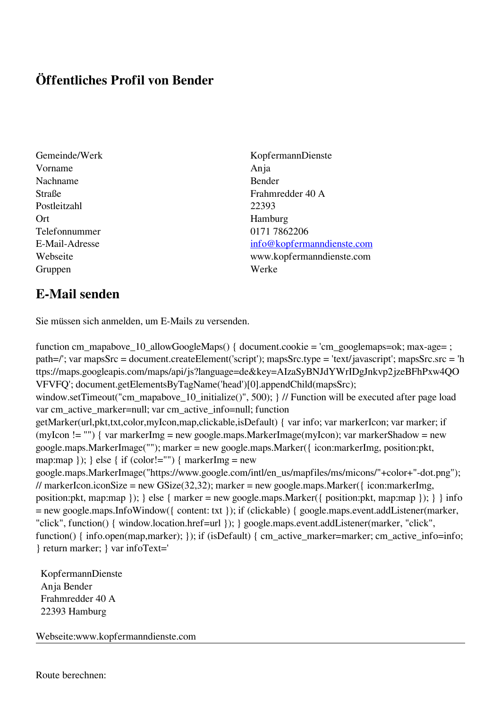## **Öffentliches Profil von Bender**

- Vorname Anja Nachname Bender Postleitzahl 22393 Ort Hamburg Telefonnummer 0171 7862206 Gruppen Werke
- Gemeinde/Werk KopfermannDienste Straße Frahmredder 40 A E-Mail-Adresse [info@kopfermanndienste.com](mailto:info@kopfermanndienste.com) Webseite www.kopfermanndienste.com

## **E-Mail senden**

Sie müssen sich anmelden, um E-Mails zu versenden.

function cm\_mapabove\_10\_allowGoogleMaps() { document.cookie = 'cm\_googlemaps=ok; max-age= ; path=/'; var mapsSrc = document.createElement('script'); mapsSrc.type = 'text/javascript'; mapsSrc.src = 'h ttps://maps.googleapis.com/maps/api/js?language=de&key=AIzaSyBNJdYWrIDgJnkvp2jzeBFhPxw4QO VFVFQ'; document.getElementsByTagName('head')[0].appendChild(mapsSrc); window.setTimeout("cm\_mapabove\_10\_initialize()", 500); } // Function will be executed after page load var cm\_active\_marker=null; var cm\_active\_info=null; function getMarker(url,pkt,txt,color,myIcon,map,clickable,isDefault) { var info; var markerIcon; var marker; if (myIcon != "") { var markerImg = new google.maps.MarkerImage(myIcon); var markerShadow = new google.maps.MarkerImage(""); marker = new google.maps.Marker({ icon:markerImg, position:pkt, map:map  $\}$ ;  $\}$  else  $\{$  if (color!="")  $\{$  markerImg = new google.maps.MarkerImage("https://www.google.com/intl/en\_us/mapfiles/ms/micons/"+color+"-dot.png"); // markerIcon.iconSize = new GSize(32,32); marker = new google.maps.Marker({ $i$ con:markerImg, position:pkt, map:map }); } else { marker = new google.maps.Marker({ position:pkt, map:map }); } } info = new google.maps.InfoWindow({ content: txt }); if (clickable) { google.maps.event.addListener(marker, "click", function() { window.location.href=url }); } google.maps.event.addListener(marker, "click", function() { info.open(map,marker); }); if (isDefault) { cm\_active\_marker=marker; cm\_active\_info=info; } return marker; } var infoText='

 KopfermannDienste Anja Bender Frahmredder 40 A 22393 Hamburg

Webseite:www.kopfermanndienste.com